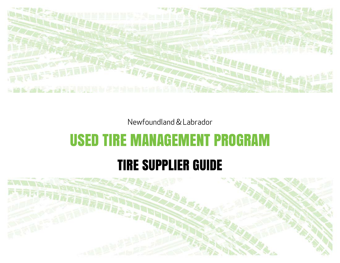

Newfoundland & Labrador

# USED TIRE MANAGEMENT PROGRAM

# TIRE SUPPLIER GUIDE

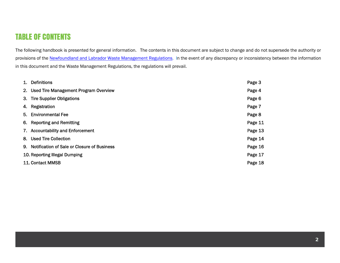### TABLE OF CONTENTS

The following handbook is presented for general information. The contents in this document are subject to change and do not supersede the authority or provisions of the Newfoundland and Labrador Waste Management Regulations. In the event of any discrepancy or inconsistency between the information in this document and the Waste Management Regulations, the regulations will prevail.

| 1. Definitions                                 | Page 3  |
|------------------------------------------------|---------|
| 2. Used Tire Management Program Overview       | Page 4  |
| 3. Tire Supplier Obligations                   | Page 6  |
| 4. Registration                                | Page 7  |
| 5. Environmental Fee                           | Page 8  |
| 6. Reporting and Remitting                     | Page 11 |
| 7. Accountability and Enforcement              | Page 13 |
| 8. Used Tire Collection                        | Page 14 |
| 9. Notification of Sale or Closure of Business | Page 16 |
| 10. Reporting Illegal Dumping                  | Page 17 |
| 11. Contact MMSB                               | Page 18 |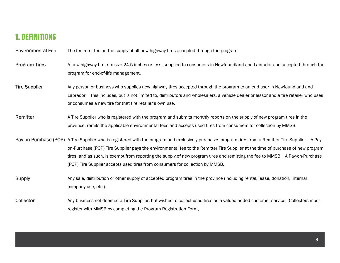### 1. DEFINITIONS

Environmental Fee The fee remitted on the supply of all new highway tires accepted through the program.

- Program Tires A new highway tire, rim size 24.5 inches or less, supplied to consumers in Newfoundland and Labrador and accepted through the program for end-of-life management.
- Tire Supplier Any person or business who supplies new highway tires accepted through the program to an end user in Newfoundland and Labrador. This includes, but is not limited to, distributors and wholesalers, a vehicle dealer or lessor and a tire retailer who uses or consumes a new tire for that tire retailer's own use.
- Remitter A Tire Supplier who is registered with the program and submits monthly reports on the supply of new program tires in the province, remits the applicable environmental fees and accepts used tires from consumers for collection by MMSB.
- Pay-on-Purchase (POP) A Tire Supplier who is registered with the program and exclusively purchases program tires from a Remitter Tire Supplier. A Payon-Purchase (POP) Tire Supplier pays the environmental fee to the Remitter Tire Supplier at the time of purchase of new program tires, and as such, is exempt from reporting the supply of new program tires and remitting the fee to MMSB. A Pay-on-Purchase (POP) Tire Supplier accepts used tires from consumers for collection by MMSB.
- Supply **Any sale, distribution or other supply of accepted program tires in the province (including rental, lease, donation, internal** company use, etc.).
- Collector Any business not deemed a Tire Supplier, but wishes to collect used tires as a valued-added customer service. Collectors must register with MMSB by completing the Program Registration Form.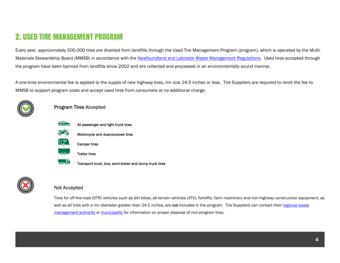# 2. USED TIRE MANAGEMENT PROGRAM

Every year, approximately 500,000 tires are diverted from landfills through the Used Tire Management Program (program), which is operated by the Multi-Materials Stewardship Board (MMSB) in accordance with the Newfoundland and Labrador Waste Management Regulations. Used tires accepted through the program have been banned from landfills since 2002 and are collected and processed in an environmentally sound manner.

A one-time environmental fee is applied to the supply of new highway tires, rim size 24.5 inches or less. Tire Suppliers are required to remit the fee to MMSB to support program costs and accept used tires from consumers at no additional charge.







 $-00 -$ 

- All passenger and light truck tires
- Motorcycle and dual-purpose tires



- Trailer tires
- $\frac{1}{\sqrt{2}}$ Transport truck, bus, semi-trailer and dump truck tires



### Not Accepted

Tires for off-the-road (OTR) vehicles such as dirt bikes, all-terrain vehicles (ATV), forklifts, farm machinery and non-highway construction equipment, as well as all tires with a rim diameter greater than 24.5 inches, are not included in the program. Tire Suppliers can contact their regional waste management authority or municipality for information on proper disposal of non-program tires.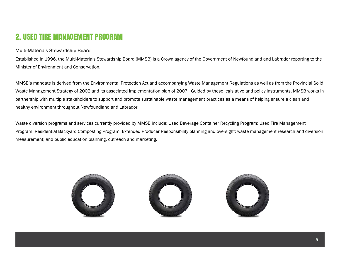### 2. USED TIRE MANAGEMENT PROGRAM

### Multi-Materials Stewardship Board

Established in 1996, the Multi-Materials Stewardship Board (MMSB) is a Crown agency of the Government of Newfoundland and Labrador reporting to the Minister of Environment and Conservation.

MMSB's mandate is derived from the Environmental Protection Act and accompanying Waste Management Regulations as well as from the Provincial Solid Waste Management Strategy of 2002 and its associated implementation plan of 2007. Guided by these legislative and policy instruments, MMSB works in partnership with multiple stakeholders to support and promote sustainable waste management practices as a means of helping ensure a clean and healthy environment throughout Newfoundland and Labrador.

Waste diversion programs and services currently provided by MMSB include: Used Beverage Container Recycling Program; Used Tire Management Program; Residential Backyard Composting Program; Extended Producer Responsibility planning and oversight; waste management research and diversion measurement; and public education planning, outreach and marketing.

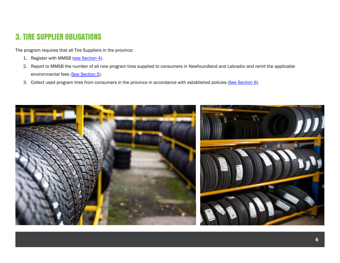## 3. TIRE SUPPLIER OBLIGATIONS

The program requires that all Tire Suppliers in the province:

- 1. Register with MMSB (<u>see Section 4</u>).
- 2. Report to MMSB the number of all new program tires supplied to consumers in Newfoundland and Labrador and remit the applicable environmental fees (See Section 5).
- 3. Collect used program tires from consumers in the province in accordance with established policies (See Section 6).

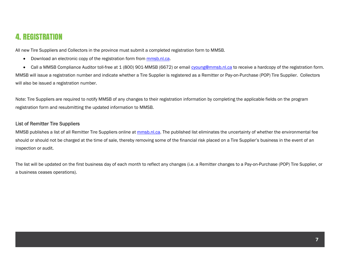### 4. REGISTRATION

All new Tire Suppliers and Collectors in the province must submit a completed registration form to MMSB.

 $\bullet$ Download an electronic copy of the registration form from mmsb.nl.ca.

• Call a MMSB Compliance Auditor toll-free at 1 (800) 901-MMSB (6672) or email cyoung@mmsb.nl.ca to receive a hardcopy of the registration form. MMSB will issue a registration number and indicate whether a Tire Supplier is registered as a Remitter or Pay-on-Purchase (POP) Tire Supplier. Collectors will also be issued a registration number.

Note: Tire Suppliers are required to notify MMSB of any changes to their registration information by completing the applicable fields on the program registration form and resubmitting the updated information to MMSB.

#### List of Remitter Tire Suppliers

MMSB publishes a list of all Remitter Tire Suppliers online at mmsb.nl.ca. The published list eliminates the uncertainty of whether the environmental fee should or should not be charged at the time of sale, thereby removing some of the financial risk placed on a Tire Supplier's business in the event of an inspection or audit.

The list will be updated on the first business day of each month to reflect any changes (i.e. a Remitter changes to a Pay-on-Purchase (POP) Tire Supplier, or a business ceases operations).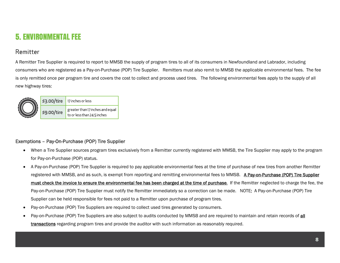## 5. ENVIRONMENTAL FEE

### Remitter

A Remitter Tire Supplier is required to report to MMSB the supply of program tires to all of its consumers in Newfoundland and Labrador, including consumers who are registered as a Pay-on-Purchase (POP) Tire Supplier. Remitters must also remit to MMSB the applicable environmental fees. The fee is only remitted once per program tire and covers the cost to collect and process used tires. The following environmental fees apply to the supply of all new highway tires:



### Exemptions – Pay-On-Purchase (POP) Tire Supplier

- 6 When a Tire Supplier sources program tires exclusively from a Remitter currently registered with MMSB, the Tire Supplier may apply to the program for Pay-on-Purchase (POP) status.
- 6 A Pay-on-Purchase (POP) Tire Supplier is required to pay applicable environmental fees at the time of purchase of new tires from another Remitter registered with MMSB, and as such, is exempt from reporting and remitting environmental fees to MMSB. A Pay-on-Purchase (POP) Tire Supplier must check the invoice to ensure the environmental fee has been charged at the time of purchase. If the Remitter neglected to charge the fee, the Pay-on-Purchase (POP) Tire Supplier must notify the Remitter immediately so a correction can be made. NOTE: A Pay-on-Purchase (POP) Tire Supplier can be held responsible for fees not paid to a Remitter upon purchase of program tires.
- 0 Pay-on-Purchase (POP) Tire Suppliers are required to collect used tires generated by consumers.
- 0 Pay-on-Purchase (POP) Tire Suppliers are also subject to audits conducted by MMSB and are required to maintain and retain records of all transactions regarding program tires and provide the auditor with such information as reasonably required.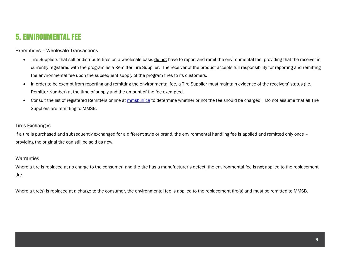### 5. ENVIRONMENTAL FEE

#### Exemptions – Wholesale Transactions

- Tire Suppliers that sell or distribute tires on a wholesale basis do not have to report and remit the environmental fee, providing that the receiver is currently registered with the program as a Remitter Tire Supplier. The receiver of the product accepts full responsibility for reporting and remitting the environmental fee upon the subsequent supply of the program tires to its customers.
- $\bullet$ In order to be exempt from reporting and remitting the environmental fee, a Tire Supplier must maintain evidence of the receivers' status (i.e. Remitter Number) at the time of supply and the amount of the fee exempted.
- $\bullet$  Consult the list of registered Remitters online at mmsb.nl.ca to determine whether or not the fee should be charged. Do not assume that all Tire Suppliers are remitting to MMSB.

#### Tires Exchanges

If a tire is purchased and subsequently exchanged for a different style or brand, the environmental handling fee is applied and remitted only once – providing the original tire can still be sold as new.

#### **Warranties**

Where a tire is replaced at no charge to the consumer, and the tire has a manufacturer's defect, the environmental fee is not applied to the replacement tire.

Where a tire(s) is replaced at a charge to the consumer, the environmental fee is applied to the replacement tire(s) and must be remitted to MMSB.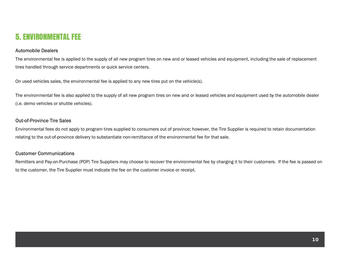### 5. ENVIRONMENTAL FEE

#### Automobile Dealers

The environmental fee is applied to the supply of all new program tires on new and or leased vehicles and equipment, including the sale of replacement tires handled through service departments or quick service centers.

On used vehicles sales, the environmental fee is applied to any new tires put on the vehicle(s).

The environmental fee is also applied to the supply of all new program tires on new and or leased vehicles and equipment used by the automobile dealer (i.e. demo vehicles or shuttle vehicles).

### Out-of-Province Tire Sales

Environmental fees do not apply to program tires supplied to consumers out of province; however, the Tire Supplier is required to retain documentation relating to the out-of-province delivery to substantiate non-remittance of the environmental fee for that sale.

### Customer Communications

Remitters and Pay-on-Purchase (POP) Tire Suppliers may choose to recover the environmental fee by charging it to their customers. If the fee is passed on to the customer, the Tire Supplier must indicate the fee on the customer invoice or receipt.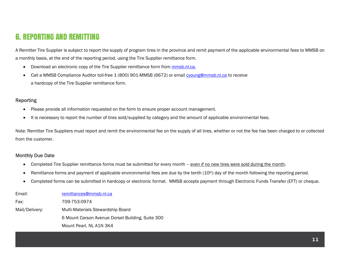# 6. REPORTING AND REMITTING

A Remitter Tire Supplier is subject to report the supply of program tires in the province and remit payment of the applicable environmental fees to MMSB on a monthly basis, at the end of the reporting period, using the Tire Supplier remittance form.

- **•** Download an electronic copy of the Tire Supplier remittance form from mmsb.nl.ca.
- $\bullet$ Call a MMSB Compliance Auditor toll-free 1 (800) 901-MMSB (6672) or email cyoung@mmsb.nl.ca to receive a hardcopy of the Tire Supplier remittance form.

### **Reporting**

- e Please provide all information requested on the form to ensure proper account management.
- $\bullet$ It is necessary to report the number of tires sold/supplied by category and the amount of applicable environmental fees.

Note: Remitter Tire Suppliers must report and remit the environmental fee on the supply of all tires, whether or not the fee has been charged to or collected from the customer.

#### Monthly Due Date

- $\bullet$ Completed Tire Supplier remittance forms must be submitted for every month – even if no new tires were sold during the month.
- $\bullet$ Remittance forms and payment of applicable environmental fees are due by the tenth (10<sup>th</sup>) day of the month following the reporting period.
- $\bullet$ Completed forms can be submitted in hardcopy or electronic format. MMSB accepts payment through Electronic Funds Transfer (EFT) or cheque.

| Email:         | remittances@mmsb.nl.ca                           |
|----------------|--------------------------------------------------|
| Fax:           | 709-753-0974                                     |
| Mail/Delivery: | Multi-Materials Stewardship Board                |
|                | 6 Mount Carson Avenue Dorset Building, Suite 300 |
|                | Mount Pearl, NL A1N 3K4                          |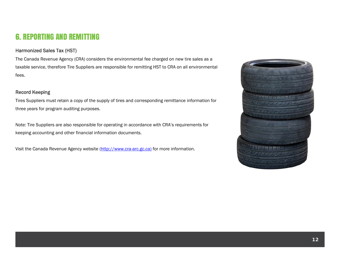# 6. REPORTING AND REMITTING

### Harmonized Sales Tax (HST)

The Canada Revenue Agency (CRA) considers the environmental fee charged on new tire sales as a taxable service, therefore Tire Suppliers are responsible for remitting HST to CRA on all environmental fees.

### Record Keeping

Tires Suppliers must retain a copy of the supply of tires and corresponding remittance information for three years for program auditing purposes.

Note: Tire Suppliers are also responsible for operating in accordance with CRA's requirements for keeping accounting and other financial information documents.

Visit the Canada Revenue Agency website (http://www.cra-arc.gc.ca) for more information.

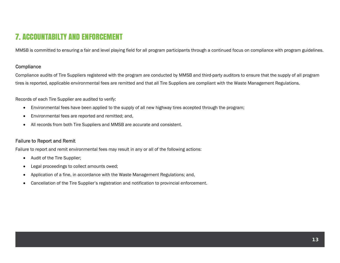# 7. ACCOUNTABILTY AND ENFORCEMENT

MMSB is committed to ensuring a fair and level playing field for all program participants through a continued focus on compliance with program guidelines.

#### **Compliance**

Compliance audits of Tire Suppliers registered with the program are conducted by MMSB and third-party auditors to ensure that the supply of all program tires is reported, applicable environmental fees are remitted and that all Tire Suppliers are compliant with the Waste Management Regulations.

Records of each Tire Supplier are audited to verify:

- $\bullet$ Environmental fees have been applied to the supply of all new highway tires accepted through the program;
- $\bullet$ Environmental fees are reported and remitted; and,
- All records from both Tire Suppliers and MMSB are accurate and consistent.

#### Failure to Report and Remit

Failure to report and remit environmental fees may result in any or all of the following actions:

- Audit of the Tire Supplier;
- $\bullet$ Legal proceedings to collect amounts owed;
- $\bullet$ Application of a fine, in accordance with the Waste Management Regulations; and,
- $\bullet$ Cancellation of the Tire Supplier's registration and notification to provincial enforcement.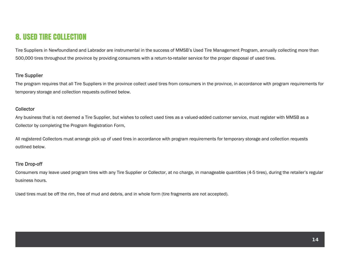### 8. USED TIRE COLLECTION

Tire Suppliers in Newfoundland and Labrador are instrumental in the success of MMSB's Used Tire Management Program, annually collecting more than 500,000 tires throughout the province by providing consumers with a return-to-retailer service for the proper disposal of used tires.

#### Tire Supplier

The program requires that all Tire Suppliers in the province collect used tires from consumers in the province, in accordance with program requirements for temporary storage and collection requests outlined below.

#### Collector

Any business that is not deemed a Tire Supplier, but wishes to collect used tires as a valued-added customer service, must register with MMSB as a Collector by completing the Program Registration Form.

All registered Collectors must arrange pick up of used tires in accordance with program requirements for temporary storage and collection requests outlined below.

#### Tire Drop-off

Consumers may leave used program tires with any Tire Supplier or Collector, at no charge, in manageable quantities (4-5 tires), during the retailer's regular business hours.

Used tires must be off the rim, free of mud and debris, and in whole form (tire fragments are not accepted).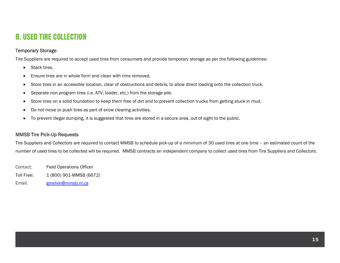## 8. USED TIRE COLLECTION

### Temporary Storage

Tire Suppliers are required to accept used tires from consumers and provide temporary storage as per the following guidelines:

- Stack tires.
- $\bullet$ Ensure tires are in whole form and clean with rims removed.
- $\bullet$ Store tires in an accessible location, clear of obstructions and debris, to allow direct loading onto the collection truck.
- $\bullet$ Separate non-program tires (i.e. ATV, loader, etc.) from the storage pile.
- $\bullet$ Store tires on a solid foundation to keep them free of dirt and to prevent collection trucks from getting stuck in mud.
- $\bullet$ Do not move or push tires as part of snow clearing activities.
- $\bullet$ To prevent illegal dumping, it is suggested that tires are stored in a secure area, out of sight to the public.

#### MMSB Tire Pick-Up Requests

Tire Suppliers and Collectors are required to contact MMSB to schedule pick-up of a minimum of 30 used tires at one time – an estimated count of the number of used tires to be collected will be required. MMSB contracts an independent company to collect used tires from Tire Suppliers and Collectors.

- Contact: Field Operations Officer
- Toll Free: 1 (800) 901-MMSB (6672)
- Email: gmelvin@mmsb.nl.ca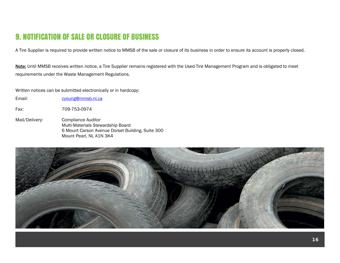# 9. NOTIFICATION OF SALE OR CLOSURE OF BUSINESS

A Tire Supplier is required to provide written notice to MMSB of the sale or closure of its business in order to ensure its account is properly closed.

Note: Until MMSB receives written notice, a Tire Supplier remains registered with the Used Tire Management Program and is obligated to meet requirements under the Waste Management Regulations.

Written notices can be submitted electronically or in hardcopy:

Email: cyoung@mmsb.nl.ca

Fax: 709-753-0974

Mail/Delivery: Compliance Auditor Multi-Materials Stewardship Board 6 Mount Carson Avenue Dorset Building, Suite 300 Mount Pearl, NL A1N 3K4

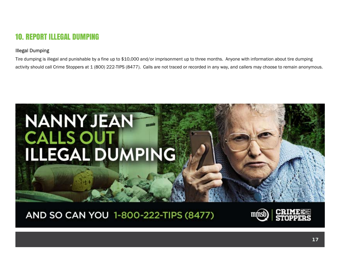# 10. REPORT ILLEGAL DUMPING

### Illegal Dumping

Tire dumping is illegal and punishable by a fine up to \$10,000 and/or imprisonment up to three months. Anyone with information about tire dumping activity should call Crime Stoppers at 1 (800) 222-TIPS (8477). Calls are not traced or recorded in any way, and callers may choose to remain anonymous.



AND SO CAN YOU 1-800-222-TIPS (8477)